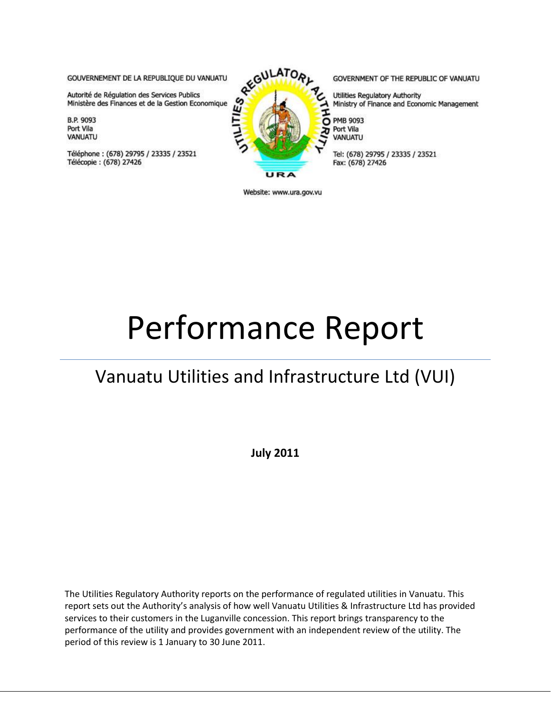GOUVERNEMENT DE LA REPUBLIQUE DU VANUATU

Autorité de Régulation des Services Publics Ministère des Finances et de la Gestion Economique

**B.P. 9093** Port Vila VANUATU

Téléphone: (678) 29795 / 23335 / 23521 Télécopie: (678) 27426



GOVERNMENT OF THE REPUBLIC OF VANUATU

Utilities Regulatory Authority Ministry of Finance and Economic Management

**PMB 9093** Port Vila VANUATU

Tel: (678) 29795 / 23335 / 23521 Fax: (678) 27426

Website: www.ura.gov.vu

# Performance Report

## Vanuatu Utilities and Infrastructure Ltd (VUI)

**July 2011**

The Utilities Regulatory Authority reports on the performance of regulated utilities in Vanuatu. This report sets out the Authority's analysis of how well Vanuatu Utilities & Infrastructure Ltd has provided services to their customers in the Luganville concession. This report brings transparency to the performance of the utility and provides government with an independent review of the utility. The period of this review is 1 January to 30 June 2011.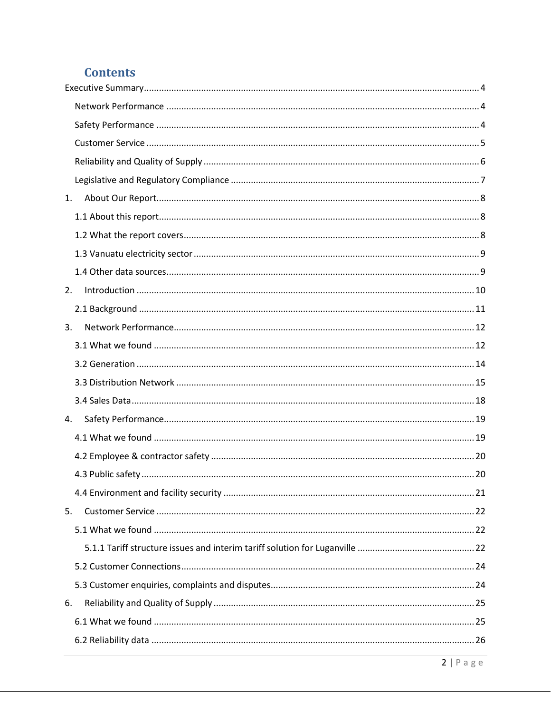## **Contents**

| 1. |  |
|----|--|
|    |  |
|    |  |
|    |  |
|    |  |
| 2. |  |
|    |  |
| 3. |  |
|    |  |
|    |  |
|    |  |
|    |  |
| 4. |  |
|    |  |
|    |  |
|    |  |
|    |  |
| 5. |  |
|    |  |
|    |  |
|    |  |
|    |  |
| 6. |  |
|    |  |
|    |  |
|    |  |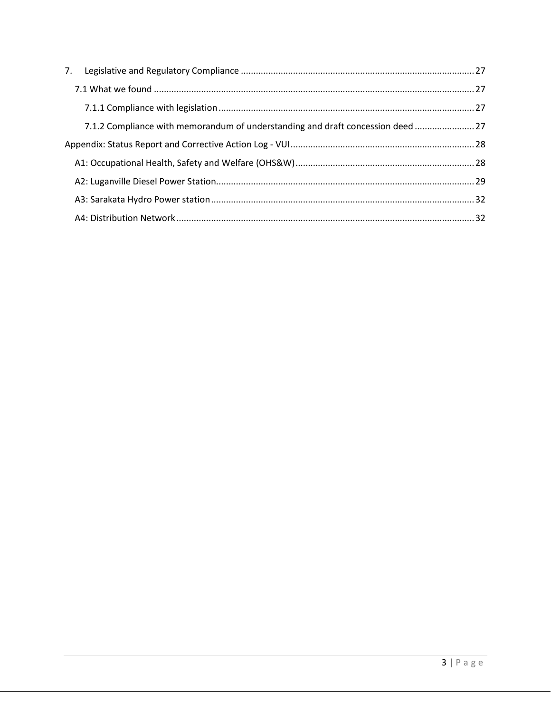| 7.1.2 Compliance with memorandum of understanding and draft concession deed  27 |  |
|---------------------------------------------------------------------------------|--|
|                                                                                 |  |
|                                                                                 |  |
|                                                                                 |  |
|                                                                                 |  |
|                                                                                 |  |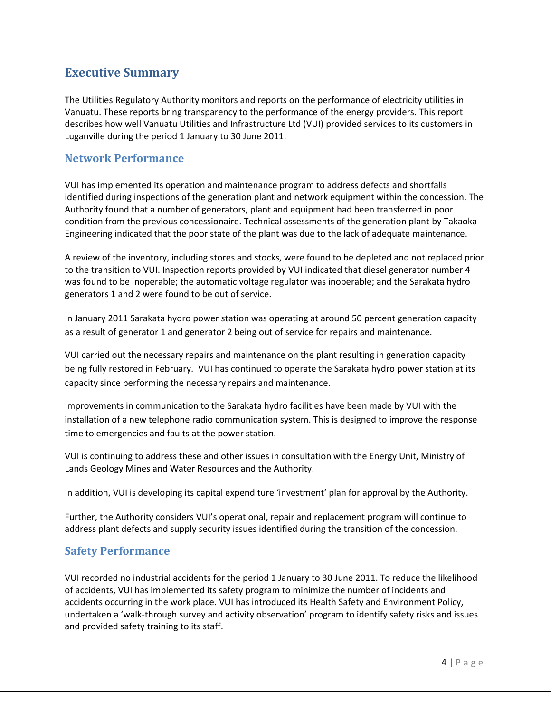#### <span id="page-3-0"></span>**Executive Summary**

The Utilities Regulatory Authority monitors and reports on the performance of electricity utilities in Vanuatu. These reports bring transparency to the performance of the energy providers. This report describes how well Vanuatu Utilities and Infrastructure Ltd (VUI) provided services to its customers in Luganville during the period 1 January to 30 June 2011.

#### <span id="page-3-1"></span>**Network Performance**

VUI has implemented its operation and maintenance program to address defects and shortfalls identified during inspections of the generation plant and network equipment within the concession. The Authority found that a number of generators, plant and equipment had been transferred in poor condition from the previous concessionaire. Technical assessments of the generation plant by Takaoka Engineering indicated that the poor state of the plant was due to the lack of adequate maintenance.

A review of the inventory, including stores and stocks, were found to be depleted and not replaced prior to the transition to VUI. Inspection reports provided by VUI indicated that diesel generator number 4 was found to be inoperable; the automatic voltage regulator was inoperable; and the Sarakata hydro generators 1 and 2 were found to be out of service.

In January 2011 Sarakata hydro power station was operating at around 50 percent generation capacity as a result of generator 1 and generator 2 being out of service for repairs and maintenance.

VUI carried out the necessary repairs and maintenance on the plant resulting in generation capacity being fully restored in February. VUI has continued to operate the Sarakata hydro power station at its capacity since performing the necessary repairs and maintenance.

Improvements in communication to the Sarakata hydro facilities have been made by VUI with the installation of a new telephone radio communication system. This is designed to improve the response time to emergencies and faults at the power station.

VUI is continuing to address these and other issues in consultation with the Energy Unit, Ministry of Lands Geology Mines and Water Resources and the Authority.

In addition, VUI is developing its capital expenditure 'investment' plan for approval by the Authority.

Further, the Authority considers VUI's operational, repair and replacement program will continue to address plant defects and supply security issues identified during the transition of the concession.

#### <span id="page-3-2"></span>**Safety Performance**

VUI recorded no industrial accidents for the period 1 January to 30 June 2011. To reduce the likelihood of accidents, VUI has implemented its safety program to minimize the number of incidents and accidents occurring in the work place. VUI has introduced its Health Safety and Environment Policy, undertaken a 'walk-through survey and activity observation' program to identify safety risks and issues and provided safety training to its staff.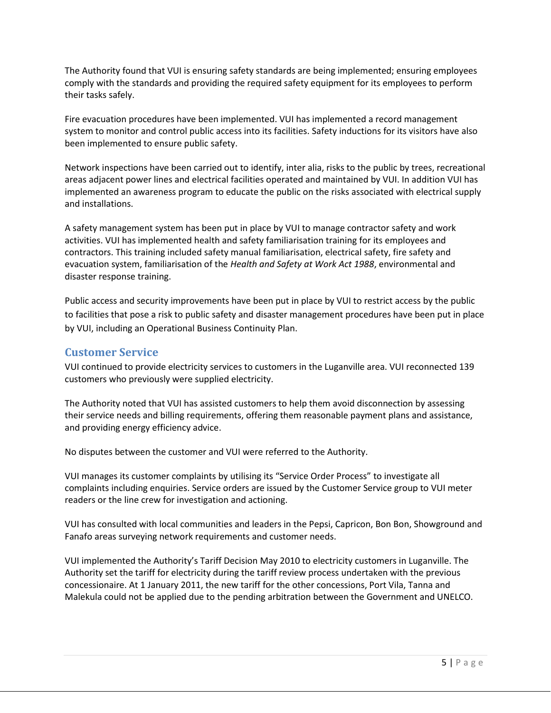The Authority found that VUI is ensuring safety standards are being implemented; ensuring employees comply with the standards and providing the required safety equipment for its employees to perform their tasks safely.

Fire evacuation procedures have been implemented. VUI has implemented a record management system to monitor and control public access into its facilities. Safety inductions for its visitors have also been implemented to ensure public safety.

Network inspections have been carried out to identify, inter alia, risks to the public by trees, recreational areas adjacent power lines and electrical facilities operated and maintained by VUI. In addition VUI has implemented an awareness program to educate the public on the risks associated with electrical supply and installations.

A safety management system has been put in place by VUI to manage contractor safety and work activities. VUI has implemented health and safety familiarisation training for its employees and contractors. This training included safety manual familiarisation, electrical safety, fire safety and evacuation system, familiarisation of the *Health and Safety at Work Act 1988*, environmental and disaster response training.

Public access and security improvements have been put in place by VUI to restrict access by the public to facilities that pose a risk to public safety and disaster management procedures have been put in place by VUI, including an Operational Business Continuity Plan.

#### <span id="page-4-0"></span>**Customer Service**

VUI continued to provide electricity services to customers in the Luganville area. VUI reconnected 139 customers who previously were supplied electricity.

The Authority noted that VUI has assisted customers to help them avoid disconnection by assessing their service needs and billing requirements, offering them reasonable payment plans and assistance, and providing energy efficiency advice.

No disputes between the customer and VUI were referred to the Authority.

VUI manages its customer complaints by utilising its "Service Order Process" to investigate all complaints including enquiries. Service orders are issued by the Customer Service group to VUI meter readers or the line crew for investigation and actioning.

VUI has consulted with local communities and leaders in the Pepsi, Capricon, Bon Bon, Showground and Fanafo areas surveying network requirements and customer needs.

VUI implemented the Authority's Tariff Decision May 2010 to electricity customers in Luganville. The Authority set the tariff for electricity during the tariff review process undertaken with the previous concessionaire. At 1 January 2011, the new tariff for the other concessions, Port Vila, Tanna and Malekula could not be applied due to the pending arbitration between the Government and UNELCO.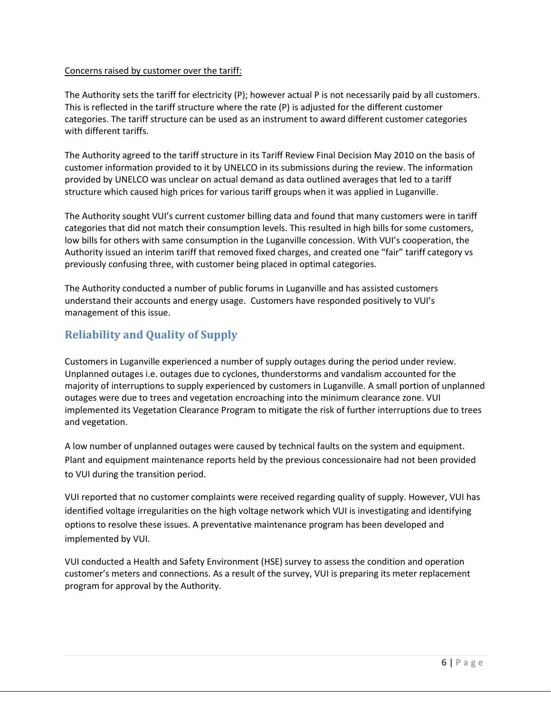#### Concerns raised by customer over the tariff:

The Authority sets the tariff for electricity (P); however actual P is not necessarily paid by all customers. This is reflected in the tariff structure where the rate (P) is adjusted for the different customer categories. The tariff structure can be used as an instrument to award different customer categories with different tariffs.

The Authority agreed to the tariff structure in its Tariff Review Final Decision May 2010 on the basis of customer information provided to it by UNELCO in its submissions during the review. The information provided by UNELCO was unclear on actual demand as data outlined averages that led to a tariff structure which caused high prices for various tariff groups when it was applied in Luganville.

The Authority sought VUI's current customer billing data and found that many customers were in tariff categories that did not match their consumption levels. This resulted in high bills for some customers, low bills for others with same consumption in the Luganville concession. With VUI's cooperation, the Authority issued an interim tariff that removed fixed charges, and created one "fair" tariff category vs previously confusing three, with customer being placed in optimal categories.

The Authority conducted a number of public forums in Luganville and has assisted customers understand their accounts and energy usage. Customers have responded positively to VUI's management of this issue.

#### <span id="page-5-0"></span>**Reliability and Quality of Supply**

Customers in Luganville experienced a number of supply outages during the period under review. Unplanned outages i.e. outages due to cyclones, thunderstorms and vandalism accounted for the majority of interruptions to supply experienced by customers in Luganville. A small portion of unplanned outages were due to trees and vegetation encroaching into the minimum clearance zone. VUI implemented its Vegetation Clearance Program to mitigate the risk of further interruptions due to trees and vegetation.

A low number of unplanned outages were caused by technical faults on the system and equipment. Plant and equipment maintenance reports held by the previous concessionaire had not been provided to VUI during the transition period.

VUI reported that no customer complaints were received regarding quality of supply. However, VUI has identified voltage irregularities on the high voltage network which VUI is investigating and identifying options to resolve these issues. A preventative maintenance program has been developed and implemented by VUI.

VUI conducted a Health and Safety Environment (HSE) survey to assess the condition and operation customer's meters and connections. As a result of the survey, VUI is preparing its meter replacement program for approval by the Authority.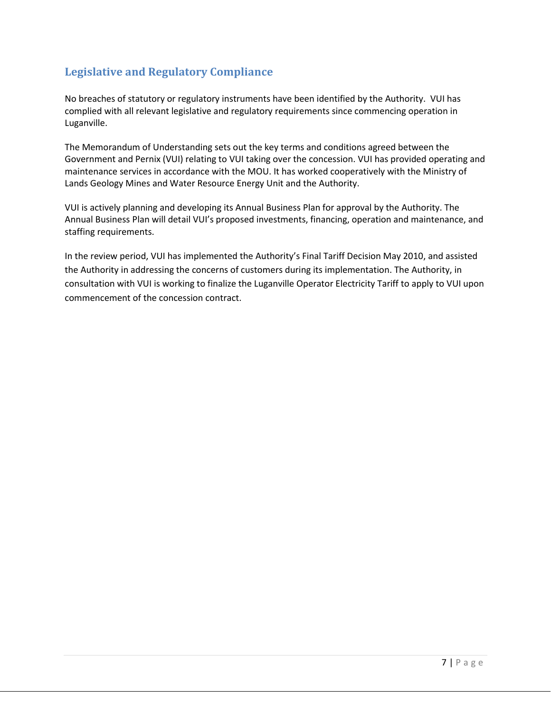#### <span id="page-6-0"></span>**Legislative and Regulatory Compliance**

No breaches of statutory or regulatory instruments have been identified by the Authority. VUI has complied with all relevant legislative and regulatory requirements since commencing operation in Luganville.

The Memorandum of Understanding sets out the key terms and conditions agreed between the Government and Pernix (VUI) relating to VUI taking over the concession. VUI has provided operating and maintenance services in accordance with the MOU. It has worked cooperatively with the Ministry of Lands Geology Mines and Water Resource Energy Unit and the Authority.

VUI is actively planning and developing its Annual Business Plan for approval by the Authority. The Annual Business Plan will detail VUI's proposed investments, financing, operation and maintenance, and staffing requirements.

In the review period, VUI has implemented the Authority's Final Tariff Decision May 2010, and assisted the Authority in addressing the concerns of customers during its implementation. The Authority, in consultation with VUI is working to finalize the Luganville Operator Electricity Tariff to apply to VUI upon commencement of the concession contract.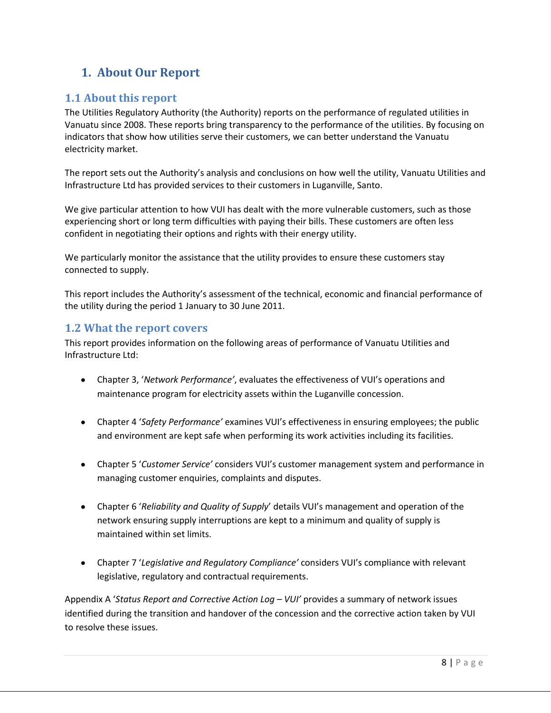## <span id="page-7-0"></span>**1. About Our Report**

#### <span id="page-7-1"></span>**1.1 About this report**

The Utilities Regulatory Authority (the Authority) reports on the performance of regulated utilities in Vanuatu since 2008. These reports bring transparency to the performance of the utilities. By focusing on indicators that show how utilities serve their customers, we can better understand the Vanuatu electricity market.

The report sets out the Authority's analysis and conclusions on how well the utility, Vanuatu Utilities and Infrastructure Ltd has provided services to their customers in Luganville, Santo.

We give particular attention to how VUI has dealt with the more vulnerable customers, such as those experiencing short or long term difficulties with paying their bills. These customers are often less confident in negotiating their options and rights with their energy utility.

We particularly monitor the assistance that the utility provides to ensure these customers stay connected to supply.

This report includes the Authority's assessment of the technical, economic and financial performance of the utility during the period 1 January to 30 June 2011.

#### <span id="page-7-2"></span>**1.2 What the report covers**

This report provides information on the following areas of performance of Vanuatu Utilities and Infrastructure Ltd:

- Chapter 3, '*Network Performance'*, evaluates the effectiveness of VUI's operations and maintenance program for electricity assets within the Luganville concession.
- Chapter 4 '*Safety Performance'* examines VUI's effectiveness in ensuring employees; the public and environment are kept safe when performing its work activities including its facilities.
- Chapter 5 '*Customer Service'* considers VUI's customer management system and performance in managing customer enquiries, complaints and disputes.
- Chapter 6 '*Reliability and Quality of Supply*' details VUI's management and operation of the network ensuring supply interruptions are kept to a minimum and quality of supply is maintained within set limits.
- Chapter 7 '*Legislative and Regulatory Compliance'* considers VUI's compliance with relevant legislative, regulatory and contractual requirements.

Appendix A '*Status Report and Corrective Action Log – VUI'* provides a summary of network issues identified during the transition and handover of the concession and the corrective action taken by VUI to resolve these issues.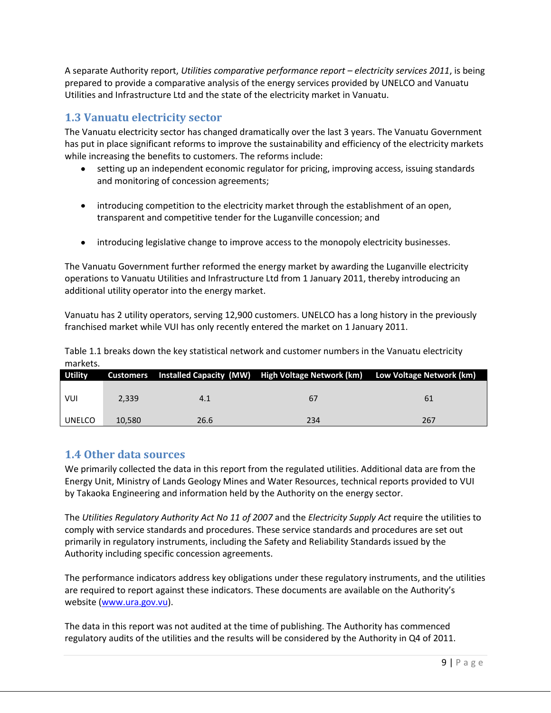A separate Authority report, *Utilities comparative performance report – electricity services 2011*, is being prepared to provide a comparative analysis of the energy services provided by UNELCO and Vanuatu Utilities and Infrastructure Ltd and the state of the electricity market in Vanuatu.

#### <span id="page-8-0"></span>**1.3 Vanuatu electricity sector**

The Vanuatu electricity sector has changed dramatically over the last 3 years. The Vanuatu Government has put in place significant reforms to improve the sustainability and efficiency of the electricity markets while increasing the benefits to customers. The reforms include:

- setting up an independent economic regulator for pricing, improving access, issuing standards  $\bullet$ and monitoring of concession agreements;
- introducing competition to the electricity market through the establishment of an open, transparent and competitive tender for the Luganville concession; and
- introducing legislative change to improve access to the monopoly electricity businesses.

The Vanuatu Government further reformed the energy market by awarding the Luganville electricity operations to Vanuatu Utilities and Infrastructure Ltd from 1 January 2011, thereby introducing an additional utility operator into the energy market.

Vanuatu has 2 utility operators, serving 12,900 customers. UNELCO has a long history in the previously franchised market while VUI has only recently entered the market on 1 January 2011.

Table 1.1 breaks down the key statistical network and customer numbers in the Vanuatu electricity markets.

| <b>Utility</b> |        |      | Customers Installed Capacity (MW) High Voltage Network (km) Low Voltage Network (km) |     |
|----------------|--------|------|--------------------------------------------------------------------------------------|-----|
|                |        |      |                                                                                      |     |
| VUI            | 2.339  | 4.1  | 67                                                                                   | 61  |
|                |        |      |                                                                                      |     |
| UNELCO         | 10.580 | 26.6 | 234                                                                                  | 267 |

#### <span id="page-8-1"></span>**1.4 Other data sources**

We primarily collected the data in this report from the regulated utilities. Additional data are from the Energy Unit, Ministry of Lands Geology Mines and Water Resources, technical reports provided to VUI by Takaoka Engineering and information held by the Authority on the energy sector.

The *Utilities Regulatory Authority Act No 11 of 2007* and the *Electricity Supply Act* require the utilities to comply with service standards and procedures. These service standards and procedures are set out primarily in regulatory instruments, including the Safety and Reliability Standards issued by the Authority including specific concession agreements.

The performance indicators address key obligations under these regulatory instruments, and the utilities are required to report against these indicators. These documents are available on the Authority's website [\(www.ura.gov.vu\)](http://www.ura.gov.vu/).

The data in this report was not audited at the time of publishing. The Authority has commenced regulatory audits of the utilities and the results will be considered by the Authority in Q4 of 2011.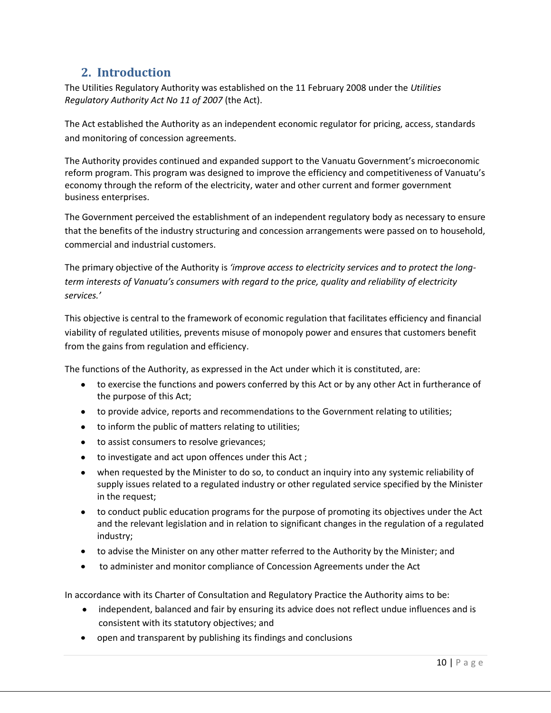## **2. Introduction**

<span id="page-9-0"></span>The Utilities Regulatory Authority was established on the 11 February 2008 under the *Utilities Regulatory Authority Act No 11 of 2007* (the Act).

The Act established the Authority as an independent economic regulator for pricing, access, standards and monitoring of concession agreements.

The Authority provides continued and expanded support to the Vanuatu Government's microeconomic reform program. This program was designed to improve the efficiency and competitiveness of Vanuatu's economy through the reform of the electricity, water and other current and former government business enterprises.

The Government perceived the establishment of an independent regulatory body as necessary to ensure that the benefits of the industry structuring and concession arrangements were passed on to household, commercial and industrial customers.

The primary objective of the Authority is *'improve access to electricity services and to protect the longterm interests of Vanuatu's consumers with regard to the price, quality and reliability of electricity services.'*

This objective is central to the framework of economic regulation that facilitates efficiency and financial viability of regulated utilities, prevents misuse of monopoly power and ensures that customers benefit from the gains from regulation and efficiency.

The functions of the Authority, as expressed in the Act under which it is constituted, are:

- to exercise the functions and powers conferred by this Act or by any other Act in furtherance of the purpose of this Act;
- to provide advice, reports and recommendations to the Government relating to utilities;
- to inform the public of matters relating to utilities;
- to assist consumers to resolve grievances;
- to investigate and act upon offences under this Act;
- $\bullet$ when requested by the Minister to do so, to conduct an inquiry into any systemic reliability of supply issues related to a regulated industry or other regulated service specified by the Minister in the request;
- to conduct public education programs for the purpose of promoting its objectives under the Act and the relevant legislation and in relation to significant changes in the regulation of a regulated industry;
- to advise the Minister on any other matter referred to the Authority by the Minister; and
- to administer and monitor compliance of Concession Agreements under the Act

In accordance with its Charter of Consultation and Regulatory Practice the Authority aims to be:

- independent, balanced and fair by ensuring its advice does not reflect undue influences and is consistent with its statutory objectives; and
- open and transparent by publishing its findings and conclusions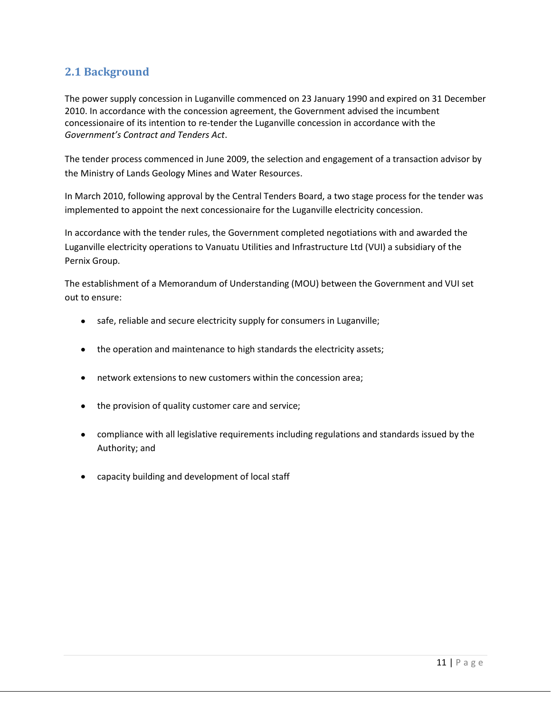#### <span id="page-10-0"></span>**2.1 Background**

The power supply concession in Luganville commenced on 23 January 1990 and expired on 31 December 2010. In accordance with the concession agreement, the Government advised the incumbent concessionaire of its intention to re-tender the Luganville concession in accordance with the *Government's Contract and Tenders Act*.

The tender process commenced in June 2009, the selection and engagement of a transaction advisor by the Ministry of Lands Geology Mines and Water Resources.

In March 2010, following approval by the Central Tenders Board, a two stage process for the tender was implemented to appoint the next concessionaire for the Luganville electricity concession.

In accordance with the tender rules, the Government completed negotiations with and awarded the Luganville electricity operations to Vanuatu Utilities and Infrastructure Ltd (VUI) a subsidiary of the Pernix Group.

The establishment of a Memorandum of Understanding (MOU) between the Government and VUI set out to ensure:

- safe, reliable and secure electricity supply for consumers in Luganville;
- the operation and maintenance to high standards the electricity assets;
- network extensions to new customers within the concession area;
- the provision of quality customer care and service;
- compliance with all legislative requirements including regulations and standards issued by the Authority; and
- capacity building and development of local staff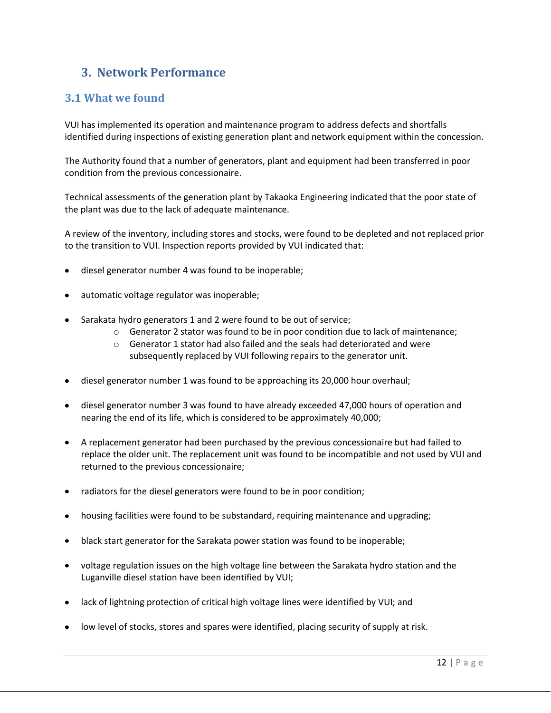#### <span id="page-11-0"></span>**3. Network Performance**

#### <span id="page-11-1"></span>**3.1 What we found**

VUI has implemented its operation and maintenance program to address defects and shortfalls identified during inspections of existing generation plant and network equipment within the concession.

The Authority found that a number of generators, plant and equipment had been transferred in poor condition from the previous concessionaire.

Technical assessments of the generation plant by Takaoka Engineering indicated that the poor state of the plant was due to the lack of adequate maintenance.

A review of the inventory, including stores and stocks, were found to be depleted and not replaced prior to the transition to VUI. Inspection reports provided by VUI indicated that:

- diesel generator number 4 was found to be inoperable;
- automatic voltage regulator was inoperable;
- Sarakata hydro generators 1 and 2 were found to be out of service;
	- $\circ$  Generator 2 stator was found to be in poor condition due to lack of maintenance;
	- $\circ$  Generator 1 stator had also failed and the seals had deteriorated and were subsequently replaced by VUI following repairs to the generator unit.
- diesel generator number 1 was found to be approaching its 20,000 hour overhaul;
- diesel generator number 3 was found to have already exceeded 47,000 hours of operation and nearing the end of its life, which is considered to be approximately 40,000;
- A replacement generator had been purchased by the previous concessionaire but had failed to replace the older unit. The replacement unit was found to be incompatible and not used by VUI and returned to the previous concessionaire;
- radiators for the diesel generators were found to be in poor condition;  $\bullet$
- housing facilities were found to be substandard, requiring maintenance and upgrading;
- black start generator for the Sarakata power station was found to be inoperable;
- voltage regulation issues on the high voltage line between the Sarakata hydro station and the Luganville diesel station have been identified by VUI;
- lack of lightning protection of critical high voltage lines were identified by VUI; and
- low level of stocks, stores and spares were identified, placing security of supply at risk.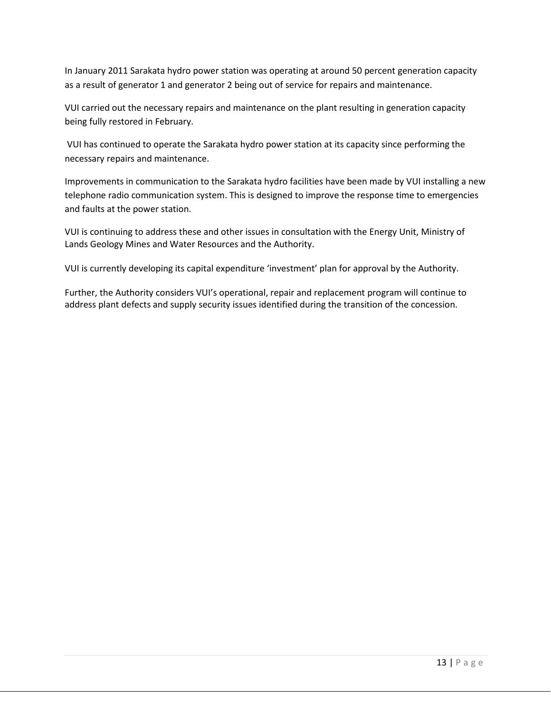In January 2011 Sarakata hydro power station was operating at around 50 percent generation capacity as a result of generator 1 and generator 2 being out of service for repairs and maintenance.

VUI carried out the necessary repairs and maintenance on the plant resulting in generation capacity being fully restored in February.

VUI has continued to operate the Sarakata hydro power station at its capacity since performing the necessary repairs and maintenance.

Improvements in communication to the Sarakata hydro facilities have been made by VUI installing a new telephone radio communication system. This is designed to improve the response time to emergencies and faults at the power station.

VUI is continuing to address these and other issues in consultation with the Energy Unit, Ministry of Lands Geology Mines and Water Resources and the Authority.

VUI is currently developing its capital expenditure 'investment' plan for approval by the Authority.

Further, the Authority considers VUI's operational, repair and replacement program will continue to address plant defects and supply security issues identified during the transition of the concession.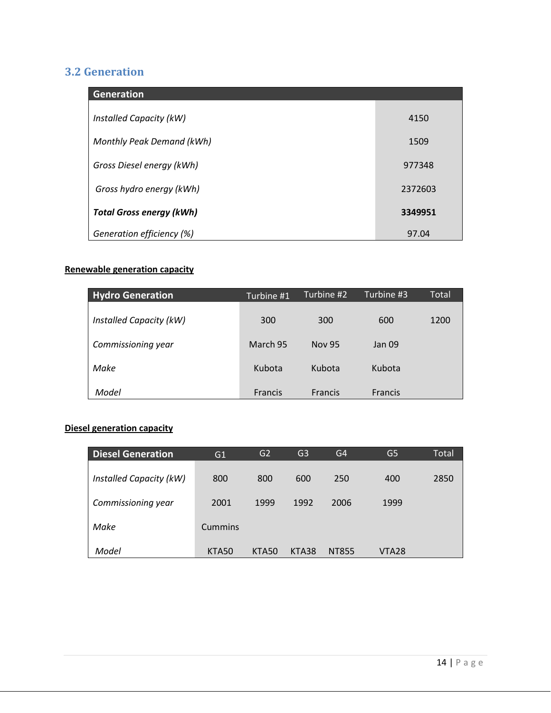## <span id="page-13-0"></span>**3.2 Generation**

| <b>Generation</b>               |         |
|---------------------------------|---------|
| Installed Capacity (kW)         | 4150    |
| Monthly Peak Demand (kWh)       | 1509    |
| Gross Diesel energy (kWh)       | 977348  |
| Gross hydro energy (kWh)        | 2372603 |
| <b>Total Gross energy (kWh)</b> | 3349951 |
| Generation efficiency (%)       | 97.04   |

#### **Renewable generation capacity**

| <b>Hydro Generation</b> | Turbine #1     | Turbine #2     | Turbine #3     | Total |
|-------------------------|----------------|----------------|----------------|-------|
| Installed Capacity (kW) | 300            | 300            | 600            | 1200  |
| Commissioning year      | March 95       | <b>Nov 95</b>  | Jan 09         |       |
| Make                    | Kubota         | Kubota         | Kubota         |       |
| Model                   | <b>Francis</b> | <b>Francis</b> | <b>Francis</b> |       |

#### **Diesel generation capacity**

| <b>Diesel Generation</b> | G1             | G2    | G3    | G <sub>4</sub> | G5    | Total |
|--------------------------|----------------|-------|-------|----------------|-------|-------|
| Installed Capacity (kW)  | 800            | 800   | 600   | 250            | 400   | 2850  |
| Commissioning year       | 2001           | 1999  | 1992  | 2006           | 1999  |       |
| Make                     | <b>Cummins</b> |       |       |                |       |       |
| Model                    | <b>KTA50</b>   | KTA50 | KTA38 | NT855          | VTA28 |       |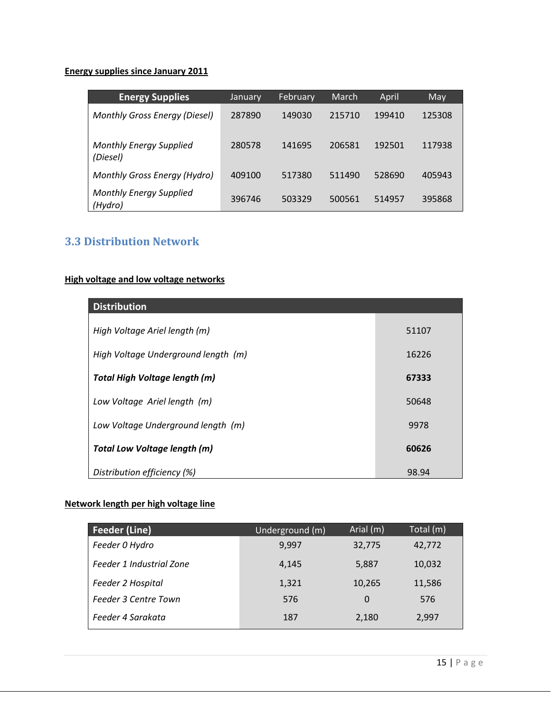#### **Energy supplies since January 2011**

| <b>Energy Supplies</b>                     | January | February | March  | April  | May    |
|--------------------------------------------|---------|----------|--------|--------|--------|
| <b>Monthly Gross Energy (Diesel)</b>       | 287890  | 149030   | 215710 | 199410 | 125308 |
| <b>Monthly Energy Supplied</b><br>(Diesel) | 280578  | 141695   | 206581 | 192501 | 117938 |
| Monthly Gross Energy (Hydro)               | 409100  | 517380   | 511490 | 528690 | 405943 |
| <b>Monthly Energy Supplied</b><br>(Hydro)  | 396746  | 503329   | 500561 | 514957 | 395868 |

#### <span id="page-14-0"></span>**3.3 Distribution Network**

#### **High voltage and low voltage networks**

| <b>Distribution</b>                 |       |
|-------------------------------------|-------|
| High Voltage Ariel length (m)       | 51107 |
| High Voltage Underground length (m) | 16226 |
| Total High Voltage length (m)       | 67333 |
| Low Voltage Ariel length (m)        | 50648 |
| Low Voltage Underground length (m)  | 9978  |
| <b>Total Low Voltage length (m)</b> | 60626 |
| Distribution efficiency (%)         | 98.94 |

#### **Network length per high voltage line**

| <b>Feeder (Line)</b>        | Underground (m) | Arial (m) | Total (m) |
|-----------------------------|-----------------|-----------|-----------|
| Feeder 0 Hydro              | 9,997           | 32,775    | 42,772    |
| Feeder 1 Industrial Zone    | 4,145           | 5,887     | 10,032    |
| Feeder 2 Hospital           | 1,321           | 10,265    | 11,586    |
| <b>Feeder 3 Centre Town</b> | 576             | 0         | 576       |
| Feeder 4 Sarakata           | 187             | 2,180     | 2,997     |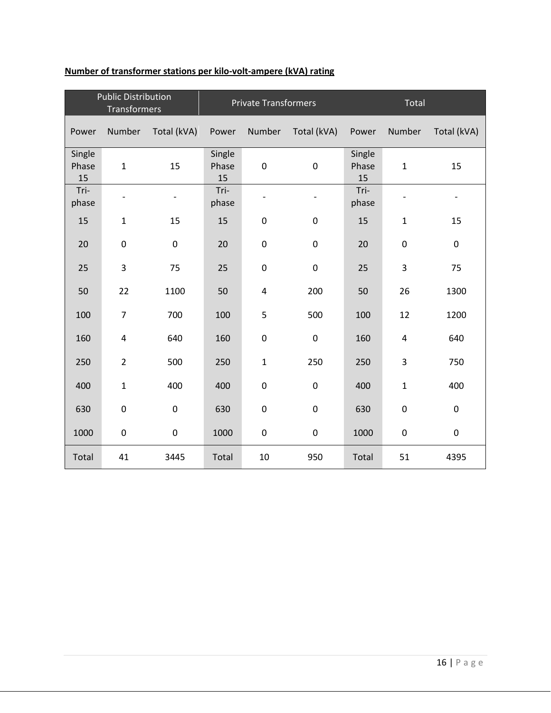| <b>Public Distribution</b><br>Transformers |                |             | <b>Private Transformers</b> |                   |                          | Total                 |                  |                          |
|--------------------------------------------|----------------|-------------|-----------------------------|-------------------|--------------------------|-----------------------|------------------|--------------------------|
| Power                                      | Number         | Total (kVA) | Power                       | Number            | Total (kVA)              | Power                 | Number           | Total (kVA)              |
| Single<br>Phase<br>15                      | $\mathbf{1}$   | 15          | Single<br>Phase<br>15       | $\pmb{0}$         | $\pmb{0}$                | Single<br>Phase<br>15 | $\mathbf{1}$     | 15                       |
| Tri-<br>phase                              | -              |             | Tri-<br>phase               | $\qquad \qquad -$ | $\overline{\phantom{m}}$ | Tri-<br>phase         |                  | $\overline{\phantom{a}}$ |
| 15                                         | $\mathbf{1}$   | 15          | 15                          | $\pmb{0}$         | $\boldsymbol{0}$         | 15                    | $\mathbf{1}$     | 15                       |
| 20                                         | $\mathbf 0$    | $\pmb{0}$   | 20                          | $\boldsymbol{0}$  | $\boldsymbol{0}$         | 20                    | $\pmb{0}$        | $\boldsymbol{0}$         |
| 25                                         | 3              | 75          | 25                          | $\pmb{0}$         | $\pmb{0}$                | 25                    | 3                | 75                       |
| 50                                         | 22             | 1100        | 50                          | $\overline{4}$    | 200                      | 50                    | 26               | 1300                     |
| 100                                        | $\overline{7}$ | 700         | 100                         | 5                 | 500                      | 100                   | 12               | 1200                     |
| 160                                        | $\overline{4}$ | 640         | 160                         | $\pmb{0}$         | $\pmb{0}$                | 160                   | 4                | 640                      |
| 250                                        | $\overline{2}$ | 500         | 250                         | $\mathbf{1}$      | 250                      | 250                   | 3                | 750                      |
| 400                                        | $\mathbf 1$    | 400         | 400                         | $\pmb{0}$         | $\pmb{0}$                | 400                   | $\mathbf{1}$     | 400                      |
| 630                                        | $\mathbf 0$    | $\mathbf 0$ | 630                         | $\pmb{0}$         | $\pmb{0}$                | 630                   | $\boldsymbol{0}$ | $\pmb{0}$                |
| 1000                                       | $\pmb{0}$      | $\pmb{0}$   | 1000                        | $\pmb{0}$         | $\pmb{0}$                | 1000                  | $\pmb{0}$        | $\pmb{0}$                |
| Total                                      | 41             | 3445        | Total                       | 10                | 950                      | Total                 | 51               | 4395                     |

#### **Number of transformer stations per kilo-volt-ampere (kVA) rating**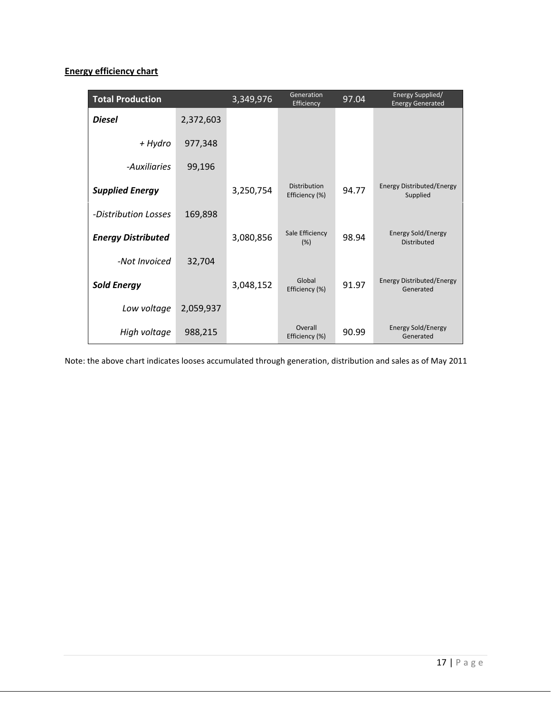#### **Energy efficiency chart**

| <b>Total Production</b>   |           | 3,349,976 | Generation<br>Efficiency              | 97.04 | Energy Supplied/<br><b>Energy Generated</b>   |
|---------------------------|-----------|-----------|---------------------------------------|-------|-----------------------------------------------|
| <b>Diesel</b>             | 2,372,603 |           |                                       |       |                                               |
| + Hydro                   | 977,348   |           |                                       |       |                                               |
| -Auxiliaries              | 99,196    |           |                                       |       |                                               |
| <b>Supplied Energy</b>    |           | 3,250,754 | <b>Distribution</b><br>Efficiency (%) | 94.77 | <b>Energy Distributed/Energy</b><br>Supplied  |
| -Distribution Losses      | 169,898   |           |                                       |       |                                               |
| <b>Energy Distributed</b> |           | 3,080,856 | Sale Efficiency<br>(% )               | 98.94 | Energy Sold/Energy<br>Distributed             |
| -Not Invoiced             | 32,704    |           |                                       |       |                                               |
| <b>Sold Energy</b>        |           | 3,048,152 | Global<br>Efficiency (%)              | 91.97 | <b>Energy Distributed/Energy</b><br>Generated |
| Low voltage               | 2,059,937 |           |                                       |       |                                               |
| High voltage              | 988,215   |           | Overall<br>Efficiency (%)             | 90.99 | <b>Energy Sold/Energy</b><br>Generated        |

Note: the above chart indicates looses accumulated through generation, distribution and sales as of May 2011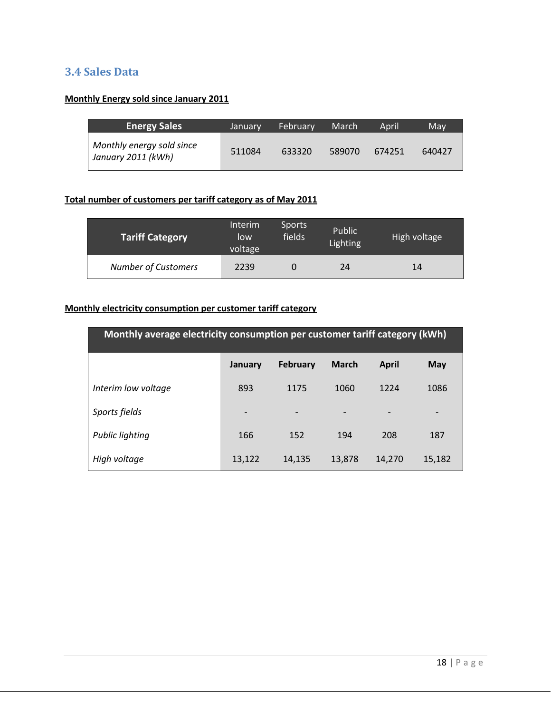#### <span id="page-17-0"></span>**3.4 Sales Data**

#### **Monthly Energy sold since January 2011**

| <b>Energy Sales</b>                             | January | February | March' | April  | May    |
|-------------------------------------------------|---------|----------|--------|--------|--------|
| Monthly energy sold since<br>January 2011 (kWh) | 511084  | 633320   | 589070 | 674251 | 640427 |

#### **Total number of customers per tariff category as of May 2011**

| <b>Tariff Category</b>     | Interim<br>low<br>voltage | <b>Sports</b><br>fields | Public<br><b>Lighting</b> | High voltage |
|----------------------------|---------------------------|-------------------------|---------------------------|--------------|
| <b>Number of Customers</b> | 2239                      |                         | 24                        | 14           |

#### **Monthly electricity consumption per customer tariff category**

| Monthly average electricity consumption per customer tariff category (kWh) |                 |                 |                          |                          |        |
|----------------------------------------------------------------------------|-----------------|-----------------|--------------------------|--------------------------|--------|
|                                                                            | January         | <b>February</b> | <b>March</b>             | <b>April</b>             | May    |
| Interim low voltage                                                        | 893             | 1175            | 1060                     | 1224                     | 1086   |
| Sports fields                                                              | $\qquad \qquad$ |                 | $\overline{\phantom{a}}$ | $\overline{\phantom{a}}$ |        |
| Public lighting                                                            | 166             | 152             | 194                      | 208                      | 187    |
| High voltage                                                               | 13,122          | 14,135          | 13,878                   | 14,270                   | 15,182 |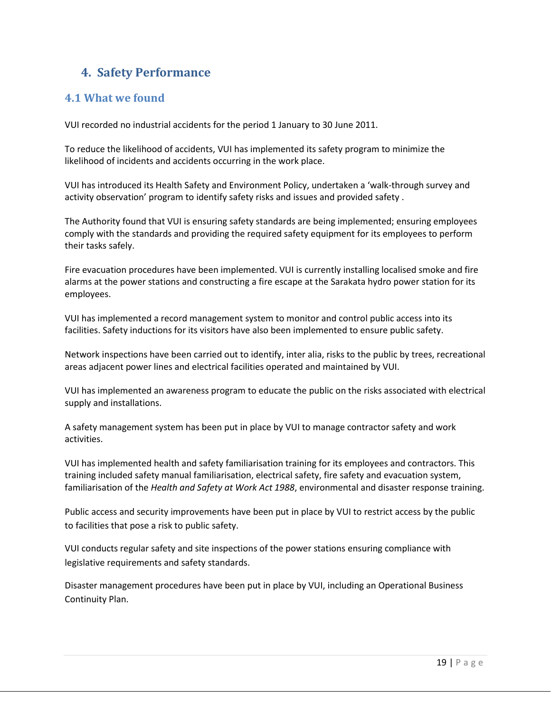## <span id="page-18-0"></span>**4. Safety Performance**

#### <span id="page-18-1"></span>**4.1 What we found**

VUI recorded no industrial accidents for the period 1 January to 30 June 2011.

To reduce the likelihood of accidents, VUI has implemented its safety program to minimize the likelihood of incidents and accidents occurring in the work place.

VUI has introduced its Health Safety and Environment Policy, undertaken a 'walk-through survey and activity observation' program to identify safety risks and issues and provided safety .

The Authority found that VUI is ensuring safety standards are being implemented; ensuring employees comply with the standards and providing the required safety equipment for its employees to perform their tasks safely.

Fire evacuation procedures have been implemented. VUI is currently installing localised smoke and fire alarms at the power stations and constructing a fire escape at the Sarakata hydro power station for its employees.

VUI has implemented a record management system to monitor and control public access into its facilities. Safety inductions for its visitors have also been implemented to ensure public safety.

Network inspections have been carried out to identify, inter alia, risks to the public by trees, recreational areas adjacent power lines and electrical facilities operated and maintained by VUI.

VUI has implemented an awareness program to educate the public on the risks associated with electrical supply and installations.

A safety management system has been put in place by VUI to manage contractor safety and work activities.

VUI has implemented health and safety familiarisation training for its employees and contractors. This training included safety manual familiarisation, electrical safety, fire safety and evacuation system, familiarisation of the *Health and Safety at Work Act 1988*, environmental and disaster response training.

Public access and security improvements have been put in place by VUI to restrict access by the public to facilities that pose a risk to public safety.

VUI conducts regular safety and site inspections of the power stations ensuring compliance with legislative requirements and safety standards.

Disaster management procedures have been put in place by VUI, including an Operational Business Continuity Plan.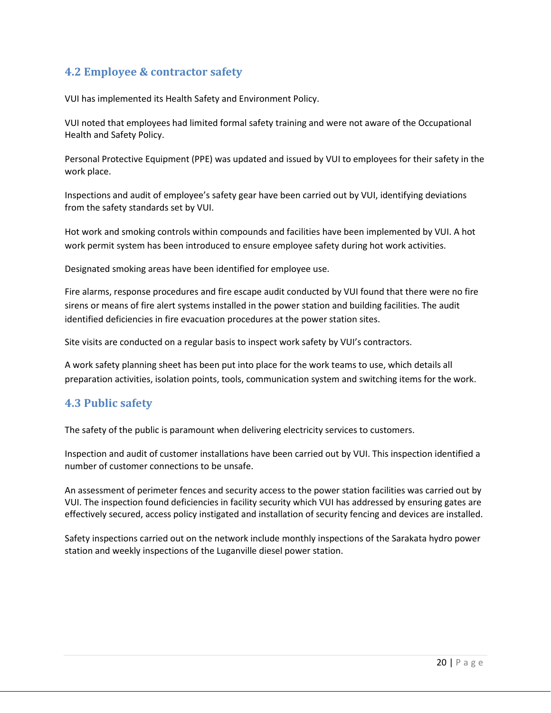#### <span id="page-19-0"></span>**4.2 Employee & contractor safety**

VUI has implemented its Health Safety and Environment Policy.

VUI noted that employees had limited formal safety training and were not aware of the Occupational Health and Safety Policy.

Personal Protective Equipment (PPE) was updated and issued by VUI to employees for their safety in the work place.

Inspections and audit of employee's safety gear have been carried out by VUI, identifying deviations from the safety standards set by VUI.

Hot work and smoking controls within compounds and facilities have been implemented by VUI. A hot work permit system has been introduced to ensure employee safety during hot work activities.

Designated smoking areas have been identified for employee use.

Fire alarms, response procedures and fire escape audit conducted by VUI found that there were no fire sirens or means of fire alert systems installed in the power station and building facilities. The audit identified deficiencies in fire evacuation procedures at the power station sites.

Site visits are conducted on a regular basis to inspect work safety by VUI's contractors.

A work safety planning sheet has been put into place for the work teams to use, which details all preparation activities, isolation points, tools, communication system and switching items for the work.

#### <span id="page-19-1"></span>**4.3 Public safety**

The safety of the public is paramount when delivering electricity services to customers.

Inspection and audit of customer installations have been carried out by VUI. This inspection identified a number of customer connections to be unsafe.

An assessment of perimeter fences and security access to the power station facilities was carried out by VUI. The inspection found deficiencies in facility security which VUI has addressed by ensuring gates are effectively secured, access policy instigated and installation of security fencing and devices are installed.

Safety inspections carried out on the network include monthly inspections of the Sarakata hydro power station and weekly inspections of the Luganville diesel power station.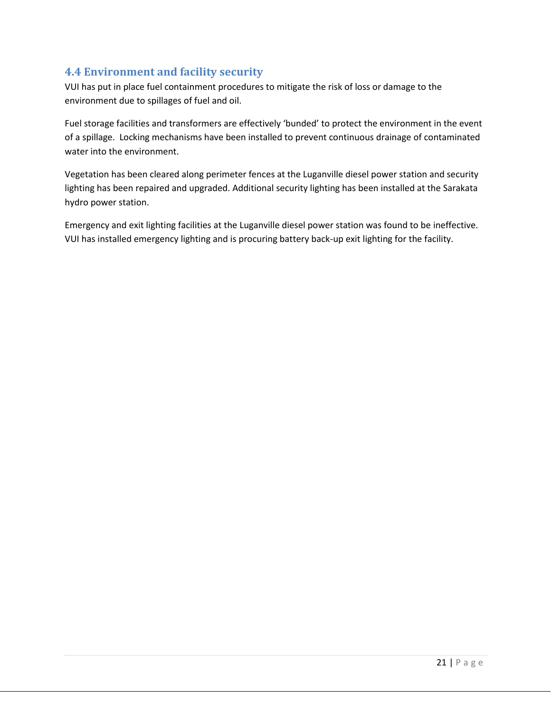#### <span id="page-20-0"></span>**4.4 Environment and facility security**

VUI has put in place fuel containment procedures to mitigate the risk of loss or damage to the environment due to spillages of fuel and oil.

Fuel storage facilities and transformers are effectively 'bunded' to protect the environment in the event of a spillage. Locking mechanisms have been installed to prevent continuous drainage of contaminated water into the environment.

Vegetation has been cleared along perimeter fences at the Luganville diesel power station and security lighting has been repaired and upgraded. Additional security lighting has been installed at the Sarakata hydro power station.

Emergency and exit lighting facilities at the Luganville diesel power station was found to be ineffective. VUI has installed emergency lighting and is procuring battery back-up exit lighting for the facility.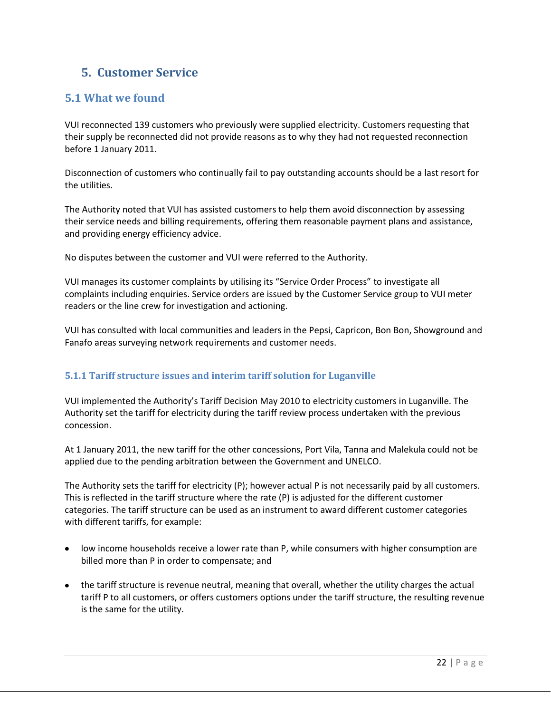## <span id="page-21-0"></span>**5. Customer Service**

#### <span id="page-21-1"></span>**5.1 What we found**

VUI reconnected 139 customers who previously were supplied electricity. Customers requesting that their supply be reconnected did not provide reasons as to why they had not requested reconnection before 1 January 2011.

Disconnection of customers who continually fail to pay outstanding accounts should be a last resort for the utilities.

The Authority noted that VUI has assisted customers to help them avoid disconnection by assessing their service needs and billing requirements, offering them reasonable payment plans and assistance, and providing energy efficiency advice.

No disputes between the customer and VUI were referred to the Authority.

VUI manages its customer complaints by utilising its "Service Order Process" to investigate all complaints including enquiries. Service orders are issued by the Customer Service group to VUI meter readers or the line crew for investigation and actioning.

VUI has consulted with local communities and leaders in the Pepsi, Capricon, Bon Bon, Showground and Fanafo areas surveying network requirements and customer needs.

#### <span id="page-21-2"></span>**5.1.1 Tariff structure issues and interim tariff solution for Luganville**

VUI implemented the Authority's Tariff Decision May 2010 to electricity customers in Luganville. The Authority set the tariff for electricity during the tariff review process undertaken with the previous concession.

At 1 January 2011, the new tariff for the other concessions, Port Vila, Tanna and Malekula could not be applied due to the pending arbitration between the Government and UNELCO.

The Authority sets the tariff for electricity (P); however actual P is not necessarily paid by all customers. This is reflected in the tariff structure where the rate (P) is adjusted for the different customer categories. The tariff structure can be used as an instrument to award different customer categories with different tariffs, for example:

- low income households receive a lower rate than P, while consumers with higher consumption are billed more than P in order to compensate; and
- the tariff structure is revenue neutral, meaning that overall, whether the utility charges the actual tariff P to all customers, or offers customers options under the tariff structure, the resulting revenue is the same for the utility.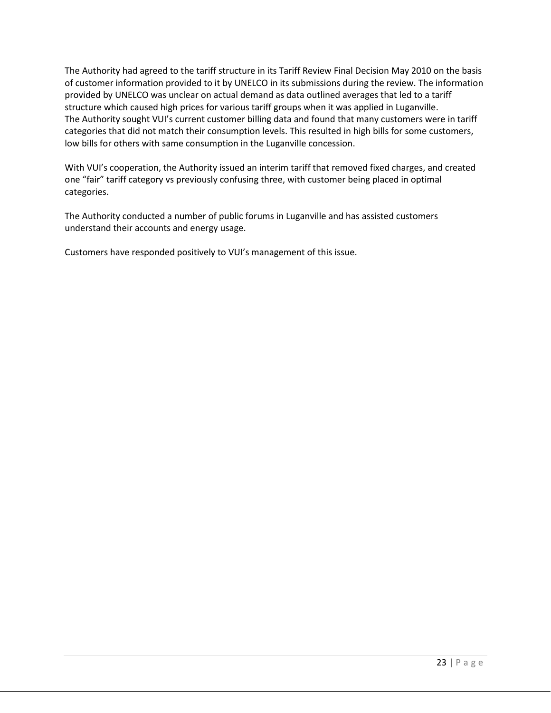The Authority had agreed to the tariff structure in its Tariff Review Final Decision May 2010 on the basis of customer information provided to it by UNELCO in its submissions during the review. The information provided by UNELCO was unclear on actual demand as data outlined averages that led to a tariff structure which caused high prices for various tariff groups when it was applied in Luganville. The Authority sought VUI's current customer billing data and found that many customers were in tariff categories that did not match their consumption levels. This resulted in high bills for some customers, low bills for others with same consumption in the Luganville concession.

With VUI's cooperation, the Authority issued an interim tariff that removed fixed charges, and created one "fair" tariff category vs previously confusing three, with customer being placed in optimal categories.

The Authority conducted a number of public forums in Luganville and has assisted customers understand their accounts and energy usage.

Customers have responded positively to VUI's management of this issue.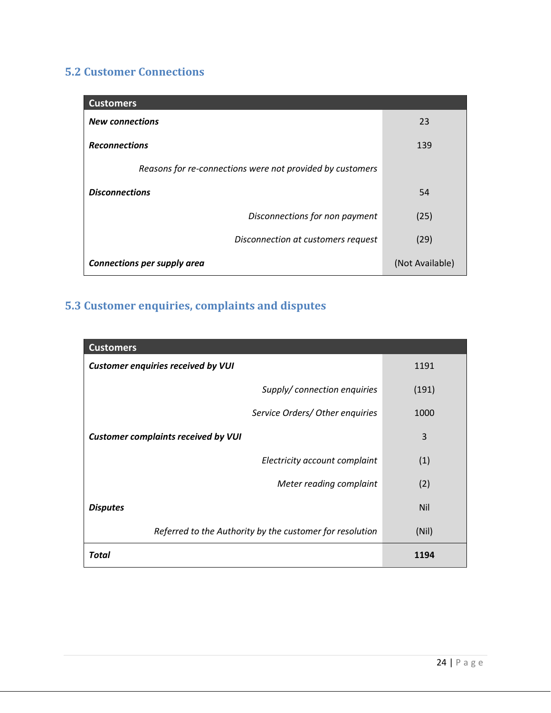## <span id="page-23-0"></span>**5.2 Customer Connections**

| <b>Customers</b>                                          |                 |
|-----------------------------------------------------------|-----------------|
| <b>New connections</b>                                    | 23              |
| <b>Reconnections</b>                                      | 139             |
| Reasons for re-connections were not provided by customers |                 |
| <b>Disconnections</b>                                     | 54              |
| Disconnections for non payment                            | (25)            |
| Disconnection at customers request                        | (29)            |
| <b>Connections per supply area</b>                        | (Not Available) |

## <span id="page-23-1"></span>**5.3 Customer enquiries, complaints and disputes**

| <b>Customers</b>                                         |       |
|----------------------------------------------------------|-------|
| <b>Customer enquiries received by VUI</b>                | 1191  |
| Supply/connection enquiries                              | (191) |
| Service Orders/ Other enquiries                          | 1000  |
| <b>Customer complaints received by VUI</b>               | 3     |
| Electricity account complaint                            | (1)   |
| Meter reading complaint                                  | (2)   |
| <b>Disputes</b>                                          | Nil   |
| Referred to the Authority by the customer for resolution | (Nil) |
| <b>Total</b>                                             | 1194  |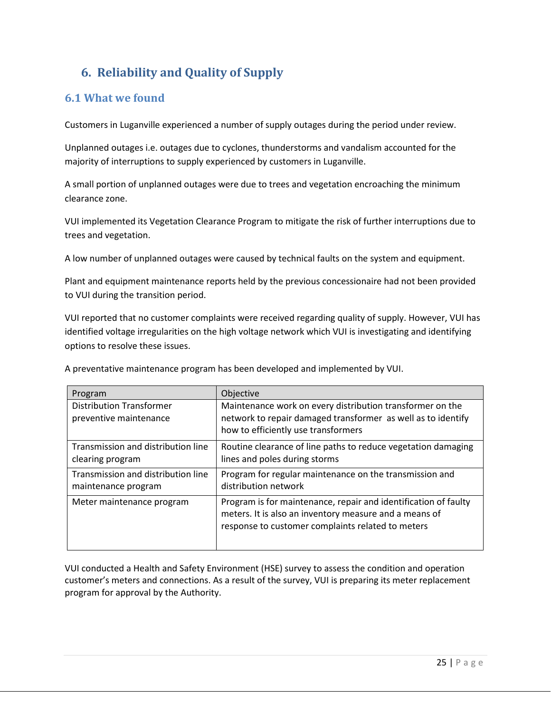## <span id="page-24-0"></span>**6. Reliability and Quality of Supply**

#### <span id="page-24-1"></span>**6.1 What we found**

Customers in Luganville experienced a number of supply outages during the period under review.

Unplanned outages i.e. outages due to cyclones, thunderstorms and vandalism accounted for the majority of interruptions to supply experienced by customers in Luganville.

A small portion of unplanned outages were due to trees and vegetation encroaching the minimum clearance zone.

VUI implemented its Vegetation Clearance Program to mitigate the risk of further interruptions due to trees and vegetation.

A low number of unplanned outages were caused by technical faults on the system and equipment.

Plant and equipment maintenance reports held by the previous concessionaire had not been provided to VUI during the transition period.

VUI reported that no customer complaints were received regarding quality of supply. However, VUI has identified voltage irregularities on the high voltage network which VUI is investigating and identifying options to resolve these issues.

| Program                                                   | Objective                                                                                                                                                                      |
|-----------------------------------------------------------|--------------------------------------------------------------------------------------------------------------------------------------------------------------------------------|
| <b>Distribution Transformer</b><br>preventive maintenance | Maintenance work on every distribution transformer on the<br>network to repair damaged transformer as well as to identify<br>how to efficiently use transformers               |
| Transmission and distribution line<br>clearing program    | Routine clearance of line paths to reduce vegetation damaging<br>lines and poles during storms                                                                                 |
| Transmission and distribution line<br>maintenance program | Program for regular maintenance on the transmission and<br>distribution network                                                                                                |
| Meter maintenance program                                 | Program is for maintenance, repair and identification of faulty<br>meters. It is also an inventory measure and a means of<br>response to customer complaints related to meters |

A preventative maintenance program has been developed and implemented by VUI.

VUI conducted a Health and Safety Environment (HSE) survey to assess the condition and operation customer's meters and connections. As a result of the survey, VUI is preparing its meter replacement program for approval by the Authority.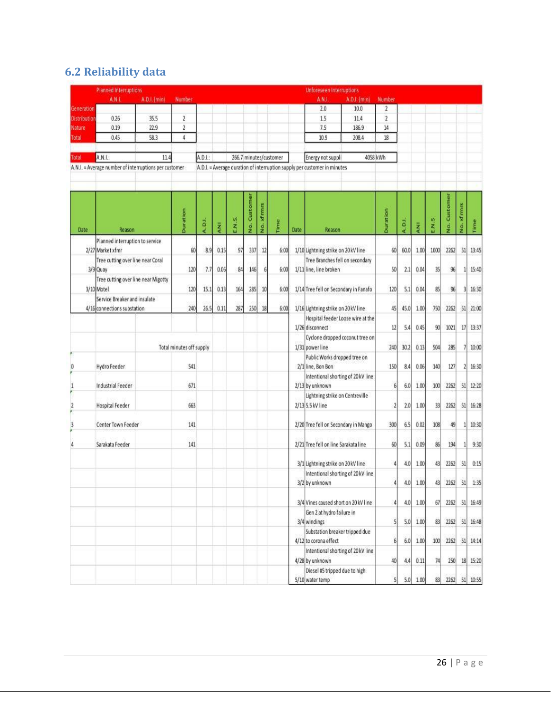## <span id="page-25-0"></span>**6.2 Reliability data**

|                              | Planned Interruptions                                            |              |                          |         |            |                  |              |               |                        |      | Unforeseen Interruptions                                                                      |                 |                                |                  |       |              |                         |          |
|------------------------------|------------------------------------------------------------------|--------------|--------------------------|---------|------------|------------------|--------------|---------------|------------------------|------|-----------------------------------------------------------------------------------------------|-----------------|--------------------------------|------------------|-------|--------------|-------------------------|----------|
|                              | A.N.I.                                                           | A.D.L. (min) | Number                   |         |            |                  |              |               |                        |      | A.N.L<br>A.D.I. (min)                                                                         | Number          |                                |                  |       |              |                         |          |
| Generation                   |                                                                  |              |                          |         |            |                  |              |               |                        |      | 2.0<br>10.0                                                                                   | $\overline{2}$  |                                |                  |       |              |                         |          |
| Distribution                 | 0.26                                                             | 35.5         | $\overline{2}$           |         |            |                  |              |               |                        |      | 15<br>11.4                                                                                    | $\overline{2}$  |                                |                  |       |              |                         |          |
| Nature                       | 0.19                                                             | 22.9         | $\overline{2}$           |         |            |                  |              |               |                        |      | 7.5<br>186.9                                                                                  | 14              |                                |                  |       |              |                         |          |
| Total                        | 0.45                                                             | 58.3         | 4                        |         |            |                  |              |               |                        |      | 10.9<br>208.4                                                                                 | 18              |                                |                  |       |              |                         |          |
| Total                        | A.N.I.:<br>A.N.I. = Average number of interruptions per customer | 11.4         |                          | A.D.I.: |            |                  |              |               | 266.7 minutes/customer |      | Energy not suppli<br>A.D.I. = Average duration of interruption supply per customer in minutes | 4058 kWh        |                                |                  |       |              |                         |          |
|                              |                                                                  |              |                          |         |            |                  |              |               |                        |      |                                                                                               |                 |                                |                  |       |              |                         |          |
| Date                         | Reason                                                           |              | <b>Duration</b>          | A.D.I.  | <b>RNI</b> | EN <sub>.5</sub> | Custome<br>š | xfmmms<br>os. | Time                   | Date | Reason                                                                                        | <b>Duration</b> | A.D.I.                         | ANI <sub>1</sub> | E.N.S | No. Customer | xfmmns<br>$\frac{3}{2}$ | Time     |
|                              | Planned interruption to service<br>2/27 Market xfmr              |              | 60                       | 8.9     | 0.15       | 97               | 337          | 12            | 6:00                   |      | 1/10 Lightning strike on 20 kV line                                                           | 60              | 60.0                           | 1.00             | 1000  | 2262         | 51                      | 13:45    |
|                              | Tree cutting over line near Coral<br>3/9 Quay                    |              | 120                      | 7.7     | 0.06       | 84               | 146          |               | 6:00                   |      | Tree Branches fell on secondary<br>1/11 line, line broken                                     | 50              | 2.1                            | 0.04             | 35    | 96           | 1                       | 15:40    |
|                              | Tree cutting over line near Migotty<br>3/10 Motel                |              | 120                      | 15.1    | 0.13       | 164              | 285          | 10            | 6:00                   |      | 1/14 Tree fell on Secondary in Fanafo                                                         | 120             | 5.1                            | 0.04             | 85    | 96           | 3                       | 16:30    |
|                              | Service Breaker and insulate<br>4/16 connections substation      |              | 240                      | 26.5    | 0.11       | 287              | 250          | 18            | 6:00                   |      | 1/16 Lightning strike on 20 kV line                                                           | 45              | 45.0                           | 1.00             | 750   | 2262         | 51                      | 21:00    |
|                              |                                                                  |              |                          |         |            |                  |              |               |                        |      | Hospital feeder Loose wire at the<br>1/26 disconnect                                          | 12              | 5.4                            | 0.45             | 90    | 1021         | 17                      | 13:37    |
|                              |                                                                  |              | Total minutes off supply |         |            |                  |              |               |                        |      | Cyclone dropped coconut tree on<br>1/31 power line                                            | 240             | 30.2                           | 0.13             | 504   | 285          | 7                       | 10:00    |
| 0                            | Hydro Feeder                                                     |              | 541                      |         |            |                  |              |               |                        |      | Public Works dropped tree on<br>2/1 line, Bon Bon                                             | 150             | 8.4                            | 0.06             | 140   | 127          | 2                       | 16:30    |
| $\mathbf{1}$                 | <b>Industrial Feeder</b>                                         |              | 671                      |         |            |                  |              |               |                        |      | Intentional shorting of 20 kV line<br>2/13 by unknown                                         |                 | 6<br>6.0                       | 1.00             | 100   | 2262         | 51                      | 12:20    |
| $\overline{\mathbf{2}}$<br>¥ | Hospital Feeder                                                  |              | 663                      |         |            |                  |              |               |                        |      | Lightning strike on Centreville<br>2/13 5.5 kV line                                           |                 | 2.0<br>$\overline{\mathbf{2}}$ | 1.00             | 33    | 2262         | 51                      | 16:28    |
| 3                            | Center Town Feeder                                               |              | 141                      |         |            |                  |              |               |                        |      | 2/20 Tree fell on Secondary in Mango                                                          | 300             | 6.5                            | 0.02             | 108   | 49           | 1                       | 10:30    |
| 4                            | Sarakata Feeder                                                  |              | 141                      |         |            |                  |              |               |                        |      | 2/21 Tree fell on line Sarakata line                                                          | 60              | 5.1                            | 0.09             | 86    | 194          | $\mathbf{1}$            | 9:30     |
|                              |                                                                  |              |                          |         |            |                  |              |               |                        |      | 3/1 Lightning strike on 20 kV line                                                            | d               | 4.0                            | 1.00             | 43    | 2262         | 51                      | 0:15     |
|                              |                                                                  |              |                          |         |            |                  |              |               |                        |      | Intentional shorting of 20 kV line<br>3/2 by unknown                                          |                 | 4.0<br>4                       | 1.00             | 43    | 2262         | 51                      | 1:35     |
|                              |                                                                  |              |                          |         |            |                  |              |               |                        |      | 3/4 Vines caused short on 20 kV line                                                          |                 | 4.0<br>4                       | 1.00             | 67    | 2262         | 51                      | 16:49    |
|                              |                                                                  |              |                          |         |            |                  |              |               |                        |      | Gen 2 at hydro failure in<br>3/4 windings                                                     |                 | 5<br>5.0                       | 1.00             | 83    | 2262         | 51                      | 16:48    |
|                              |                                                                  |              |                          |         |            |                  |              |               |                        |      | Substation breaker tripped due<br>4/12 to corona effect                                       |                 | 6 <sup>1</sup><br>6.0          | 1.00             | 100   | 2262         | 51                      | 14:14    |
|                              |                                                                  |              |                          |         |            |                  |              |               |                        |      | Intentional shorting of 20 kV line<br>4/28 by unknown                                         | 40              | 4.4                            | 0.11             | 74    | 250          |                         | 18 15:20 |
|                              |                                                                  |              |                          |         |            |                  |              |               |                        |      | Diesel #5 tripped due to high<br>5/10 water temp                                              |                 | 5.0<br>5                       | 1.00             | 83    | 2262         |                         | 51 10:55 |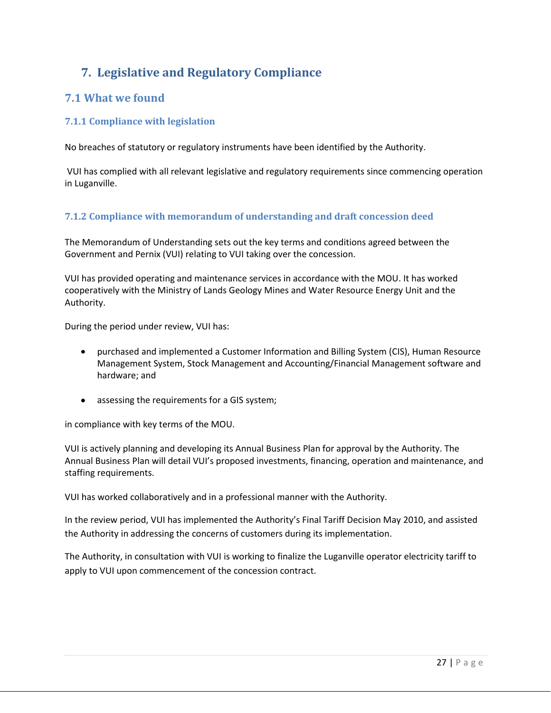## <span id="page-26-0"></span>**7. Legislative and Regulatory Compliance**

#### <span id="page-26-1"></span>**7.1 What we found**

#### <span id="page-26-2"></span>**7.1.1 Compliance with legislation**

No breaches of statutory or regulatory instruments have been identified by the Authority.

VUI has complied with all relevant legislative and regulatory requirements since commencing operation in Luganville.

#### <span id="page-26-3"></span>**7.1.2 Compliance with memorandum of understanding and draft concession deed**

The Memorandum of Understanding sets out the key terms and conditions agreed between the Government and Pernix (VUI) relating to VUI taking over the concession.

VUI has provided operating and maintenance services in accordance with the MOU. It has worked cooperatively with the Ministry of Lands Geology Mines and Water Resource Energy Unit and the Authority.

During the period under review, VUI has:

- purchased and implemented a Customer Information and Billing System (CIS), Human Resource Management System, Stock Management and Accounting/Financial Management software and hardware; and
- assessing the requirements for a GIS system;

in compliance with key terms of the MOU.

VUI is actively planning and developing its Annual Business Plan for approval by the Authority. The Annual Business Plan will detail VUI's proposed investments, financing, operation and maintenance, and staffing requirements.

VUI has worked collaboratively and in a professional manner with the Authority.

In the review period, VUI has implemented the Authority's Final Tariff Decision May 2010, and assisted the Authority in addressing the concerns of customers during its implementation.

The Authority, in consultation with VUI is working to finalize the Luganville operator electricity tariff to apply to VUI upon commencement of the concession contract.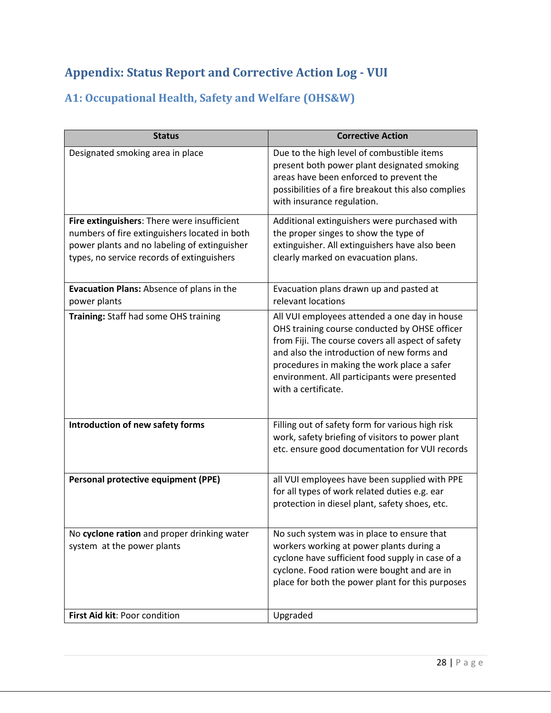## <span id="page-27-0"></span>**Appendix: Status Report and Corrective Action Log - VUI**

## <span id="page-27-1"></span>**A1: Occupational Health, Safety and Welfare (OHS&W)**

| <b>Status</b>                                                                                                                                                                              | <b>Corrective Action</b>                                                                                                                                                                                                                                                                                                |
|--------------------------------------------------------------------------------------------------------------------------------------------------------------------------------------------|-------------------------------------------------------------------------------------------------------------------------------------------------------------------------------------------------------------------------------------------------------------------------------------------------------------------------|
| Designated smoking area in place                                                                                                                                                           | Due to the high level of combustible items<br>present both power plant designated smoking<br>areas have been enforced to prevent the<br>possibilities of a fire breakout this also complies<br>with insurance regulation.                                                                                               |
| Fire extinguishers: There were insufficient<br>numbers of fire extinguishers located in both<br>power plants and no labeling of extinguisher<br>types, no service records of extinguishers | Additional extinguishers were purchased with<br>the proper singes to show the type of<br>extinguisher. All extinguishers have also been<br>clearly marked on evacuation plans.                                                                                                                                          |
| Evacuation Plans: Absence of plans in the<br>power plants                                                                                                                                  | Evacuation plans drawn up and pasted at<br>relevant locations                                                                                                                                                                                                                                                           |
| Training: Staff had some OHS training                                                                                                                                                      | All VUI employees attended a one day in house<br>OHS training course conducted by OHSE officer<br>from Fiji. The course covers all aspect of safety<br>and also the introduction of new forms and<br>procedures in making the work place a safer<br>environment. All participants were presented<br>with a certificate. |
| Introduction of new safety forms                                                                                                                                                           | Filling out of safety form for various high risk<br>work, safety briefing of visitors to power plant<br>etc. ensure good documentation for VUI records                                                                                                                                                                  |
| Personal protective equipment (PPE)                                                                                                                                                        | all VUI employees have been supplied with PPE<br>for all types of work related duties e.g. ear<br>protection in diesel plant, safety shoes, etc.                                                                                                                                                                        |
| No cyclone ration and proper drinking water<br>system at the power plants                                                                                                                  | No such system was in place to ensure that<br>workers working at power plants during a<br>cyclone have sufficient food supply in case of a<br>cyclone. Food ration were bought and are in<br>place for both the power plant for this purposes                                                                           |
| First Aid kit: Poor condition                                                                                                                                                              | Upgraded                                                                                                                                                                                                                                                                                                                |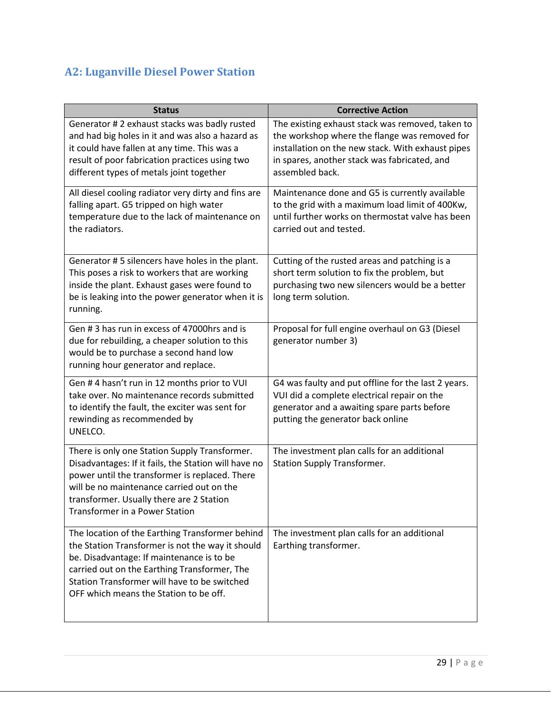## <span id="page-28-0"></span>**A2: Luganville Diesel Power Station**

| <b>Status</b>                                                                                                                                                                                                                                                                              | <b>Corrective Action</b>                                                                                                                                                                                                  |
|--------------------------------------------------------------------------------------------------------------------------------------------------------------------------------------------------------------------------------------------------------------------------------------------|---------------------------------------------------------------------------------------------------------------------------------------------------------------------------------------------------------------------------|
| Generator # 2 exhaust stacks was badly rusted<br>and had big holes in it and was also a hazard as<br>it could have fallen at any time. This was a<br>result of poor fabrication practices using two<br>different types of metals joint together                                            | The existing exhaust stack was removed, taken to<br>the workshop where the flange was removed for<br>installation on the new stack. With exhaust pipes<br>in spares, another stack was fabricated, and<br>assembled back. |
| All diesel cooling radiator very dirty and fins are<br>falling apart. G5 tripped on high water<br>temperature due to the lack of maintenance on<br>the radiators.                                                                                                                          | Maintenance done and G5 is currently available<br>to the grid with a maximum load limit of 400Kw,<br>until further works on thermostat valve has been<br>carried out and tested.                                          |
| Generator #5 silencers have holes in the plant.<br>This poses a risk to workers that are working<br>inside the plant. Exhaust gases were found to<br>be is leaking into the power generator when it is<br>running.                                                                         | Cutting of the rusted areas and patching is a<br>short term solution to fix the problem, but<br>purchasing two new silencers would be a better<br>long term solution.                                                     |
| Gen #3 has run in excess of 47000hrs and is<br>due for rebuilding, a cheaper solution to this<br>would be to purchase a second hand low<br>running hour generator and replace.                                                                                                             | Proposal for full engine overhaul on G3 (Diesel<br>generator number 3)                                                                                                                                                    |
| Gen #4 hasn't run in 12 months prior to VUI<br>take over. No maintenance records submitted<br>to identify the fault, the exciter was sent for<br>rewinding as recommended by<br>UNELCO.                                                                                                    | G4 was faulty and put offline for the last 2 years.<br>VUI did a complete electrical repair on the<br>generator and a awaiting spare parts before<br>putting the generator back online                                    |
| There is only one Station Supply Transformer.<br>Disadvantages: If it fails, the Station will have no<br>power until the transformer is replaced. There<br>will be no maintenance carried out on the<br>transformer. Usually there are 2 Station<br><b>Transformer in a Power Station</b>  | The investment plan calls for an additional<br><b>Station Supply Transformer.</b>                                                                                                                                         |
| The location of the Earthing Transformer behind<br>the Station Transformer is not the way it should<br>be. Disadvantage: If maintenance is to be<br>carried out on the Earthing Transformer, The<br>Station Transformer will have to be switched<br>OFF which means the Station to be off. | The investment plan calls for an additional<br>Earthing transformer.                                                                                                                                                      |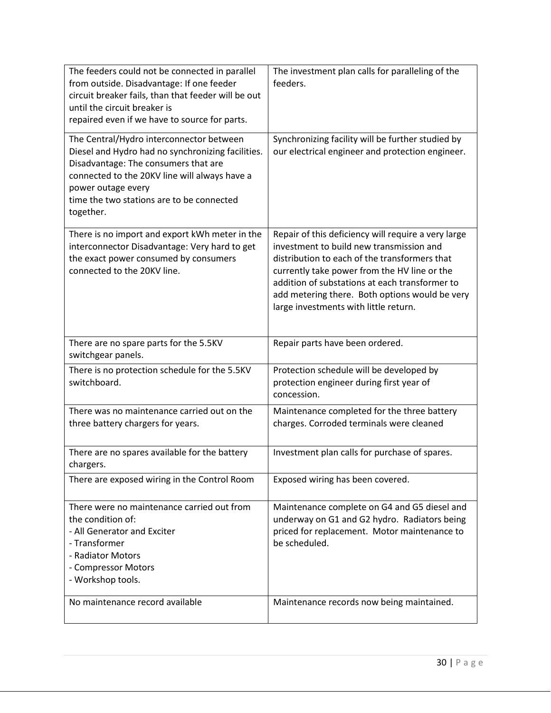| The feeders could not be connected in parallel<br>from outside. Disadvantage: If one feeder<br>circuit breaker fails, than that feeder will be out<br>until the circuit breaker is<br>repaired even if we have to source for parts.                                    | The investment plan calls for paralleling of the<br>feeders.                                                                                                                                                                                                                                                                                  |
|------------------------------------------------------------------------------------------------------------------------------------------------------------------------------------------------------------------------------------------------------------------------|-----------------------------------------------------------------------------------------------------------------------------------------------------------------------------------------------------------------------------------------------------------------------------------------------------------------------------------------------|
| The Central/Hydro interconnector between<br>Diesel and Hydro had no synchronizing facilities.<br>Disadvantage: The consumers that are<br>connected to the 20KV line will always have a<br>power outage every<br>time the two stations are to be connected<br>together. | Synchronizing facility will be further studied by<br>our electrical engineer and protection engineer.                                                                                                                                                                                                                                         |
| There is no import and export kWh meter in the<br>interconnector Disadvantage: Very hard to get<br>the exact power consumed by consumers<br>connected to the 20KV line.                                                                                                | Repair of this deficiency will require a very large<br>investment to build new transmission and<br>distribution to each of the transformers that<br>currently take power from the HV line or the<br>addition of substations at each transformer to<br>add metering there. Both options would be very<br>large investments with little return. |
| There are no spare parts for the 5.5KV<br>switchgear panels.                                                                                                                                                                                                           | Repair parts have been ordered.                                                                                                                                                                                                                                                                                                               |
| There is no protection schedule for the 5.5KV<br>switchboard.                                                                                                                                                                                                          | Protection schedule will be developed by<br>protection engineer during first year of<br>concession.                                                                                                                                                                                                                                           |
| There was no maintenance carried out on the<br>three battery chargers for years.                                                                                                                                                                                       | Maintenance completed for the three battery<br>charges. Corroded terminals were cleaned                                                                                                                                                                                                                                                       |
| There are no spares available for the battery<br>chargers.                                                                                                                                                                                                             | Investment plan calls for purchase of spares.                                                                                                                                                                                                                                                                                                 |
| There are exposed wiring in the Control Room                                                                                                                                                                                                                           | Exposed wiring has been covered.                                                                                                                                                                                                                                                                                                              |
| There were no maintenance carried out from<br>the condition of:<br>- All Generator and Exciter<br>- Transformer<br>- Radiator Motors<br>- Compressor Motors<br>- Workshop tools.                                                                                       | Maintenance complete on G4 and G5 diesel and<br>underway on G1 and G2 hydro. Radiators being<br>priced for replacement. Motor maintenance to<br>be scheduled.                                                                                                                                                                                 |
| No maintenance record available                                                                                                                                                                                                                                        | Maintenance records now being maintained.                                                                                                                                                                                                                                                                                                     |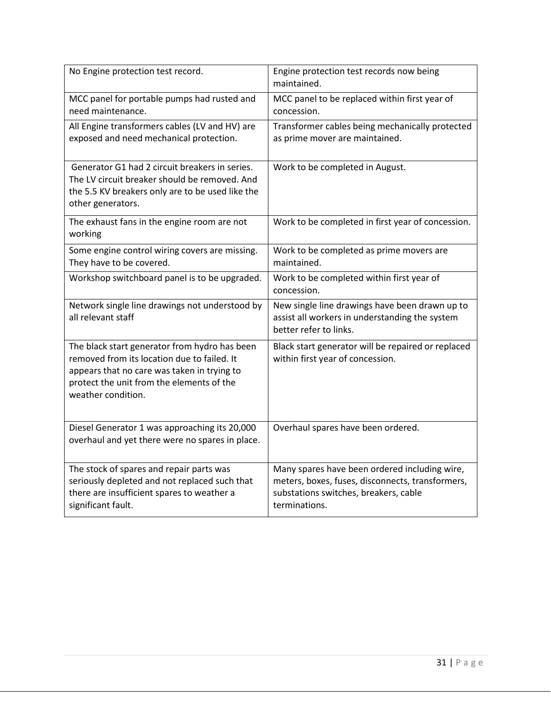| No Engine protection test record.                                                                                                                                                                              | Engine protection test records now being<br>maintained.                                                                                                     |
|----------------------------------------------------------------------------------------------------------------------------------------------------------------------------------------------------------------|-------------------------------------------------------------------------------------------------------------------------------------------------------------|
| MCC panel for portable pumps had rusted and<br>need maintenance.                                                                                                                                               | MCC panel to be replaced within first year of<br>concession.                                                                                                |
| All Engine transformers cables (LV and HV) are<br>exposed and need mechanical protection.                                                                                                                      | Transformer cables being mechanically protected<br>as prime mover are maintained.                                                                           |
| Generator G1 had 2 circuit breakers in series.<br>The LV circuit breaker should be removed. And<br>the 5.5 KV breakers only are to be used like the<br>other generators.                                       | Work to be completed in August.                                                                                                                             |
| The exhaust fans in the engine room are not<br>working                                                                                                                                                         | Work to be completed in first year of concession.                                                                                                           |
| Some engine control wiring covers are missing.<br>They have to be covered.                                                                                                                                     | Work to be completed as prime movers are<br>maintained.                                                                                                     |
| Workshop switchboard panel is to be upgraded.                                                                                                                                                                  | Work to be completed within first year of<br>concession.                                                                                                    |
| Network single line drawings not understood by<br>all relevant staff                                                                                                                                           | New single line drawings have been drawn up to<br>assist all workers in understanding the system<br>better refer to links.                                  |
| The black start generator from hydro has been<br>removed from its location due to failed. It<br>appears that no care was taken in trying to<br>protect the unit from the elements of the<br>weather condition. | Black start generator will be repaired or replaced<br>within first year of concession.                                                                      |
| Diesel Generator 1 was approaching its 20,000<br>overhaul and yet there were no spares in place.                                                                                                               | Overhaul spares have been ordered.                                                                                                                          |
| The stock of spares and repair parts was<br>seriously depleted and not replaced such that<br>there are insufficient spares to weather a<br>significant fault.                                                  | Many spares have been ordered including wire,<br>meters, boxes, fuses, disconnects, transformers,<br>substations switches, breakers, cable<br>terminations. |